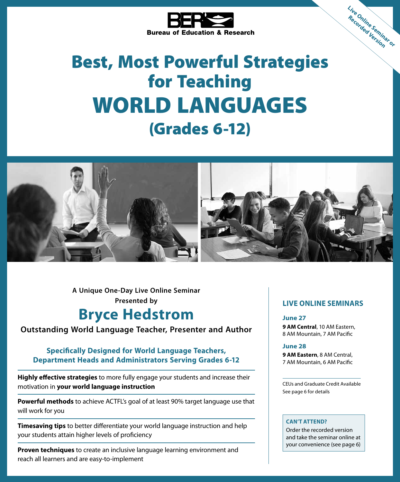

# Best, Most Powerful Strategies for Teaching WORLD LANGUAGES (Grades 6-12)



**A Unique One-Day Live Online Seminar Presented by**

# **Bryce Hedstrom**

### **Outstanding World Language Teacher, Presenter and Author**

### **Specifically Designed for World Language Teachers, Department Heads and Administrators Serving Grades 6-12**

**Highly effective strategies** to more fully engage your students and increase their motivation in **your world language instruction**

**Powerful methods** to achieve ACTFL's goal of at least 90% target language use that will work for you

**Timesaving tips** to better differentiate your world language instruction and help your students attain higher levels of proficiency

**Proven techniques** to create an inclusive language learning environment and reach all learners and are easy-to-implement

### **LIVE ONLINE SEMINARS**

**Live Online Seminar or Recorded Version**

### **June 27**

**9 AM Central**, 10 AM Eastern, 8 AM Mountain, 7 AM Pacific

#### **June 28**

**9 AM Eastern**, 8 AM Central, 7 AM Mountain, 6 AM Pacific

CEUs and Graduate Credit Available See page 6 for details

#### **CAN'T ATTEND?**

Order the recorded version and take the seminar online at your convenience (see page 6)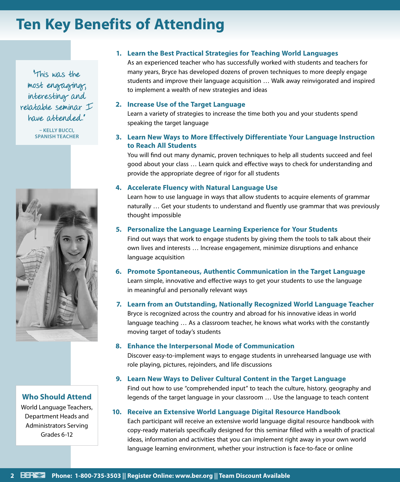# **Ten Key Benefits of Attending**

"This was the most engaging, interesting and relatable seminar I have attended."

> **– KELLY BUCCI, SPANISH TEACHER**



**Who Should Attend**

World Language Teachers, Department Heads and Administrators Serving Grades 6-12

### **1. Learn the Best Practical Strategies for Teaching World Languages**

As an experienced teacher who has successfully worked with students and teachers for many years, Bryce has developed dozens of proven techniques to more deeply engage students and improve their language acquisition … Walk away reinvigorated and inspired to implement a wealth of new strategies and ideas

### **2. Increase Use of the Target Language**

Learn a variety of strategies to increase the time both you and your students spend speaking the target language

### **3. Learn New Ways to More Effectively Differentiate Your Language Instruction to Reach All Students**

You will find out many dynamic, proven techniques to help all students succeed and feel good about your class … Learn quick and effective ways to check for understanding and provide the appropriate degree of rigor for all students

### **4. Accelerate Fluency with Natural Language Use**

Learn how to use language in ways that allow students to acquire elements of grammar naturally … Get your students to understand and fluently use grammar that was previously thought impossible

### **5. Personalize the Language Learning Experience for Your Students**

Find out ways that work to engage students by giving them the tools to talk about their own lives and interests … Increase engagement, minimize disruptions and enhance language acquisition

### **6. Promote Spontaneous, Authentic Communication in the Target Language**

Learn simple, innovative and effective ways to get your students to use the language in meaningful and personally relevant ways

### **7. Learn from an Outstanding, Nationally Recognized World Language Teacher**

Bryce is recognized across the country and abroad for his innovative ideas in world language teaching … As a classroom teacher, he knows what works with the constantly moving target of today's students

### **8. Enhance the Interpersonal Mode of Communication**

Discover easy-to-implement ways to engage students in unrehearsed language use with role playing, pictures, rejoinders, and life discussions

### **9. Learn New Ways to Deliver Cultural Content in the Target Language**

Find out how to use "comprehended input" to teach the culture, history, geography and legends of the target language in your classroom … Use the language to teach content

### **10. Receive an Extensive World Language Digital Resource Handbook**

Each participant will receive an extensive world language digital resource handbook with copy-ready materials specifically designed for this seminar filled with a wealth of practical ideas, information and activities that you can implement right away in your own world language learning environment, whether your instruction is face-to-face or online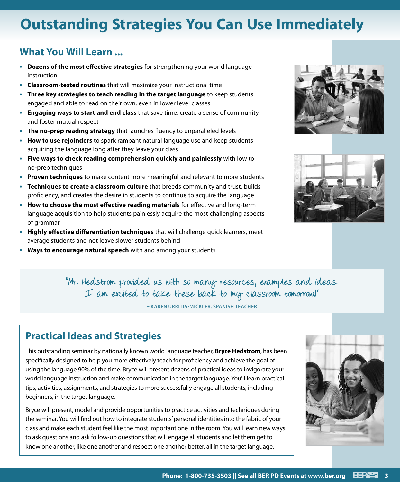# **Outstanding Strategies You Can Use Immediately**

### **What You Will Learn ...**

- **• Dozens of the most effective strategies** for strengthening your world language instruction
- **• Classroom-tested routines** that will maximize your instructional time
- **• Three key strategies to teach reading in the target language** to keep students engaged and able to read on their own, even in lower level classes
- **• Engaging ways to start and end class** that save time, create a sense of community and foster mutual respect
- **• The no-prep reading strategy** that launches fluency to unparalleled levels
- **• How to use rejoinders** to spark rampant natural language use and keep students acquiring the language long after they leave your class
- **• Five ways to check reading comprehension quickly and painlessly** with low to no-prep techniques
- **• Proven techniques** to make content more meaningful and relevant to more students
- **• Techniques to create a classroom culture** that breeds community and trust, builds proficiency, and creates the desire in students to continue to acquire the language
- **• How to choose the most effective reading materials** for effective and long-term language acquisition to help students painlessly acquire the most challenging aspects of grammar
- **• Highly effective differentiation techniques** that will challenge quick learners, meet average students and not leave slower students behind
- **• Ways to encourage natural speech** with and among your students





"Mr. Hedstrom provided us with so many resources, examples and ideas. I am excited to take these back to my classroom tomorrow!"

**– KAREN URRITIA-MICKLER, SPANISH TEACHER**

### **Practical Ideas and Strategies**

This outstanding seminar by nationally known world language teacher, **Bryce Hedstrom**, has been specifically designed to help you more effectively teach for proficiency and achieve the goal of using the language 90% of the time. Bryce will present dozens of practical ideas to invigorate your world language instruction and make communication in the target language. You'll learn practical tips, activities, assignments, and strategies to more successfully engage all students, including beginners, in the target language.

Bryce will present, model and provide opportunities to practice activities and techniques during the seminar. You will find out how to integrate students' personal identities into the fabric of your class and make each student feel like the most important one in the room. You will learn new ways to ask questions and ask follow-up questions that will engage all students and let them get to know one another, like one another and respect one another better, all in the target language.

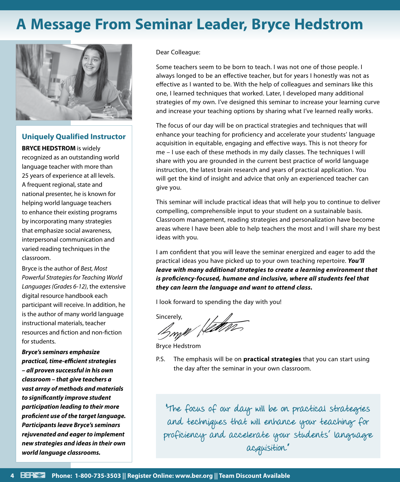# **A Message From Seminar Leader, Bryce Hedstrom**



## **Uniquely Qualified Instructor**

**BRYCE HEDSTROM** is widely recognized as an outstanding world language teacher with more than 25 years of experience at all levels. A frequent regional, state and national presenter, he is known for helping world language teachers to enhance their existing programs by incorporating many strategies that emphasize social awareness, interpersonal communication and varied reading techniques in the classroom.

Bryce is the author of *Best, Most Powerful Strategies for Teaching World Languages (Grades 6-12)*, the extensive digital resource handbook each participant will receive. In addition, he is the author of many world language instructional materials, teacher resources and fiction and non-fiction for students.

*Bryce's seminars emphasize practical, time-efficient strategies – all proven successful in his own classroom – that give teachers a vast array of methods and materials to significantly improve student participation leading to their more proficient use of the target language. Participants leave Bryce's seminars rejuvenated and eager to implement new strategies and ideas in their own world language classrooms.*

### Dear Colleague:

Some teachers seem to be born to teach. I was not one of those people. I always longed to be an effective teacher, but for years I honestly was not as effective as I wanted to be. With the help of colleagues and seminars like this one, I learned techniques that worked. Later, I developed many additional strategies of my own. I've designed this seminar to increase your learning curve and increase your teaching options by sharing what I've learned really works.

The focus of our day will be on practical strategies and techniques that will enhance your teaching for proficiency and accelerate your students' language acquisition in equitable, engaging and effective ways. This is not theory for me – I use each of these methods in my daily classes. The techniques I will share with you are grounded in the current best practice of world language instruction, the latest brain research and years of practical application. You will get the kind of insight and advice that only an experienced teacher can give you.

This seminar will include practical ideas that will help you to continue to deliver compelling, comprehensible input to your student on a sustainable basis. Classroom management, reading strategies and personalization have become areas where I have been able to help teachers the most and I will share my best ideas with you.

I am confident that you will leave the seminar energized and eager to add the practical ideas you have picked up to your own teaching repertoire. *You'll leave with many additional strategies to create a learning environment that is proficiency-focused, humane and inclusive, where all students feel that they can learn the language and want to attend class.*

I look forward to spending the day with you!

Bryn Hetter

Bryce Hedstrom

P.S. The emphasis will be on **practical strategies** that you can start using the day after the seminar in your own classroom.

"The focus of our day will be on practical strategies and techniques that will enhance your teaching for proficiency and accelerate your students' language acquisition."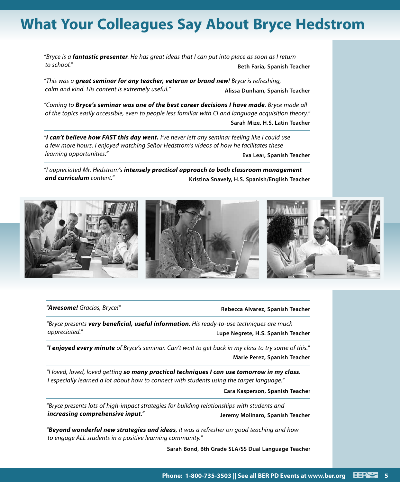# **What Your Colleagues Say About Bryce Hedstrom**

*"Bryce is a fantastic presenter. He has great ideas that I can put into place as soon as I return to school."* **Beth Faria, Spanish Teacher**

*"This was a great seminar for any teacher, veteran or brand new! Bryce is refreshing, calm and kind. His content is extremely useful."* **Alissa Dunham, Spanish Teacher**

*"Coming to Bryce's seminar was one of the best career decisions I have made. Bryce made all of the topics easily accessible, even to people less familiar with CI and language acquisition theory."* **Sarah Mize, H.S. Latin Teacher**

*"I can't believe how FAST this day went. I've never left any seminar feeling like I could use a few more hours. I enjoyed watching Señor Hedstrom's videos of how he facilitates these learning opportunities."* **Eva Lear, Spanish Teacher**

*"I appreciated Mr. Hedstrom's intensely practical approach to both classroom management*  **and curriculum** content." *CONDER CONDER CONDER Kristina Snavely, H.S. Spanish/English Teacher* 



#### *"Awesome! Gracias, Bryce!"* **Rebecca Alvarez, Spanish Teacher**

*"Bryce presents very beneficial, useful information. His ready-to-use techniques are much appreciated."* **Lupe Negrete, H.S. Spanish Teacher**

*"I enjoyed every minute of Bryce's seminar. Can't wait to get back in my class to try some of this."* **Marie Perez, Spanish Teacher**

*"I loved, loved, loved getting so many practical techniques I can use tomorrow in my class. I especially learned a lot about how to connect with students using the target language."*

**Cara Kasperson, Spanish Teacher**

*"Bryce presents lots of high-impact strategies for building relationships with students and increasing comprehensive input."* **Jeremy Molinaro, Spanish Teacher**

*"Beyond wonderful new strategies and ideas, it was a refresher on good teaching and how to engage ALL students in a positive learning community."*

**Sarah Bond, 6th Grade SLA/SS Dual Language Teacher**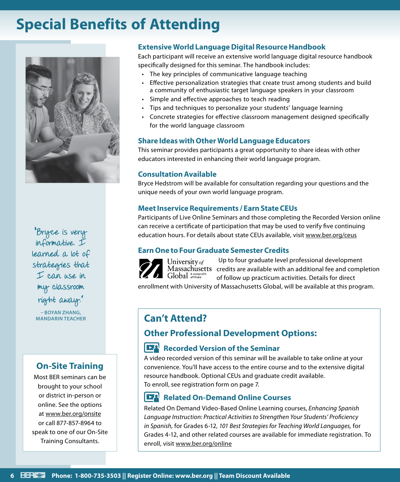# **Special Benefits of Attending**



"Bryce is very informative. I learned a lot of strategies that I can use in my classroom right away." **– BOYAN ZHANG,** 

### **On-Site Training**

Most BER seminars can be brought to your school or district in-person or online. See the options at www.ber.org/onsite or call 877-857-8964 to speak to one of our On-Site Training Consultants.

### **Extensive World Language Digital Resource Handbook**

Each participant will receive an extensive world language digital resource handbook specifically designed for this seminar. The handbook includes:

- The key principles of communicative language teaching
- Effective personalization strategies that create trust among students and build a community of enthusiastic target language speakers in your classroom
- Simple and effective approaches to teach reading
- Tips and techniques to personalize your students' language learning
- Concrete strategies for effective classroom management designed specifically for the world language classroom

### **Share Ideas with Other World Language Educators**

This seminar provides participants a great opportunity to share ideas with other educators interested in enhancing their world language program.

### **Consultation Available**

Bryce Hedstrom will be available for consultation regarding your questions and the unique needs of your own world language program.

### **Meet Inservice Requirements / Earn State CEUs**

Participants of Live Online Seminars and those completing the Recorded Version online can receive a certificate of participation that may be used to verify five continuing education hours. For details about state CEUs available, visit www.ber.org/ceus

### **Earn One to Four Graduate Semester Credits**



University of Global Anonprofit

Up to four graduate level professional development Massachusetts credits are available with an additional fee and completion of follow up practicum activities. Details for direct

enrollment with University of Massachusetts Global, will be available at this program.

### **Can't Attend?**

### **Other Professional Development Options:**

### **Recorded Version of the Seminar**

A video recorded version of this seminar will be available to take online at your convenience. You'll have access to the entire course and to the extensive digital resource handbook. Optional CEUs and graduate credit available. To enroll, see registration form on page 7.

### **Related On-Demand Online Courses**

Related On Demand Video-Based Online Learning courses, *Enhancing Spanish Language Instruction: Practical Activities to Strengthen Your Students' Proficiency in Spanish,* for Grades 6-12, *101 Best Strategies for Teaching World Languages,* for Grades 4-12, and other related courses are available for immediate registration. To enroll, visit www.ber.org/online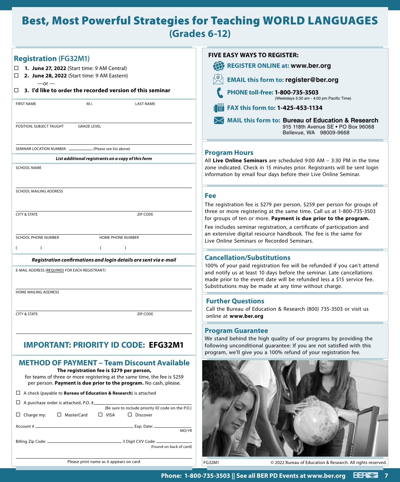# Best, Most Powerful Strategies for Teaching WORLD LANGUAGES **(Grades 6-12)**

| <b>Registration (FG32M1)</b><br>1. June 27, 2022 (Start time: 9 AM Central)<br>2. June 28, 2022 (Start time: 9 AM Eastern)<br>□<br>$-$ or $-$<br>3. I'd like to order the recorded version of this seminar<br>□<br>M.I.<br><b>LAST NAME</b><br><b>FIRST NAME</b><br>POSITION, SUBJECT TAUGHT<br><b>GRADE LEVEL</b> | <b>FIVE EASY WAYS TO REGISTER:</b><br>49<br><b>REGISTER ONLINE at: www.ber.org</b><br><b>EMAIL this form to: register@ber.org</b><br>PHONE toll-free: 1-800-735-3503<br>(Weekdays 5:30 am - 4:00 pm Pacific Time)<br>FAX this form to: 1-425-453-1134<br>圖<br><b>MAIL this form to: Bureau of Education &amp; Research</b><br>915 118th Avenue SE . PO Box 96068<br>Bellevue, WA 98009-9668 |
|--------------------------------------------------------------------------------------------------------------------------------------------------------------------------------------------------------------------------------------------------------------------------------------------------------------------|---------------------------------------------------------------------------------------------------------------------------------------------------------------------------------------------------------------------------------------------------------------------------------------------------------------------------------------------------------------------------------------------|
| SEMINAR LOCATION NUMBER: __<br>(Please see list above)                                                                                                                                                                                                                                                             | <b>Program Hours</b>                                                                                                                                                                                                                                                                                                                                                                        |
| List additional registrants on a copy of this form                                                                                                                                                                                                                                                                 | All Live Online Seminars are scheduled $9:00$ AM $-$ 3:30 PM in the time                                                                                                                                                                                                                                                                                                                    |
| <b>SCHOOL NAME</b>                                                                                                                                                                                                                                                                                                 | zone indicated. Check in 15 minutes prior. Registrants will be sent login<br>information by email four days before their Live Online Seminar.                                                                                                                                                                                                                                               |
| SCHOOL MAILING ADDRESS                                                                                                                                                                                                                                                                                             |                                                                                                                                                                                                                                                                                                                                                                                             |
|                                                                                                                                                                                                                                                                                                                    | <b>Fee</b><br>The registration fee is \$279 per person, \$259 per person for groups of                                                                                                                                                                                                                                                                                                      |
| <b>CITY &amp; STATE</b><br>ZIP CODE                                                                                                                                                                                                                                                                                | three or more registering at the same time. Call us at 1-800-735-3503<br>for groups of ten or more. Payment is due prior to the program.                                                                                                                                                                                                                                                    |
|                                                                                                                                                                                                                                                                                                                    | Fee includes seminar registration, a certificate of participation and                                                                                                                                                                                                                                                                                                                       |
| SCHOOL PHONE NUMBER<br>HOME PHONE NUMBER                                                                                                                                                                                                                                                                           | an extensive digital resource handbook. The fee is the same for<br>Live Online Seminars or Recorded Seminars.                                                                                                                                                                                                                                                                               |
| $\lambda$<br>$\lambda$<br>(                                                                                                                                                                                                                                                                                        |                                                                                                                                                                                                                                                                                                                                                                                             |
| Registration confirmations and login details are sent via e-mail                                                                                                                                                                                                                                                   | <b>Cancellation/Substitutions</b>                                                                                                                                                                                                                                                                                                                                                           |
| E-MAIL ADDRESS (REQUIRED FOR EACH REGISTRANT)                                                                                                                                                                                                                                                                      | 100% of your paid registration fee will be refunded if you can't attend<br>and notify us at least 10 days before the seminar. Late cancellations<br>made prior to the event date will be refunded less a \$15 service fee.<br>Substitutions may be made at any time without charge.                                                                                                         |
| HOME MAILING ADDRESS                                                                                                                                                                                                                                                                                               | <b>Further Questions</b>                                                                                                                                                                                                                                                                                                                                                                    |
|                                                                                                                                                                                                                                                                                                                    | Call the Bureau of Education & Research (800) 735-3503 or visit us                                                                                                                                                                                                                                                                                                                          |
| <b>CITY &amp; STATE</b><br>ZIP CODE                                                                                                                                                                                                                                                                                | online at www.ber.org                                                                                                                                                                                                                                                                                                                                                                       |
| <b>IMPORTANT: PRIORITY ID CODE: EFG32M1</b>                                                                                                                                                                                                                                                                        | <b>Program Guarantee</b><br>We stand behind the high quality of our programs by providing the<br>following unconditional guarantee: If you are not satisfied with this<br>program, we'll give you a 100% refund of your registration fee.                                                                                                                                                   |
| <b>METHOD OF PAYMENT - Team Discount Available</b><br>The registration fee is \$279 per person,<br>for teams of three or more registering at the same time, the fee is \$259<br>per person. Payment is due prior to the program. No cash, please.                                                                  |                                                                                                                                                                                                                                                                                                                                                                                             |
| $\Box$ A check (payable to <b>Bureau of Education &amp; Research</b> ) is attached                                                                                                                                                                                                                                 |                                                                                                                                                                                                                                                                                                                                                                                             |
| $\Box$ A purchase order is attached, P.O. #_____<br>(Be sure to include priority ID code on the P.O.)                                                                                                                                                                                                              |                                                                                                                                                                                                                                                                                                                                                                                             |
| $\Box$ Charge my:<br>□ MasterCard<br>$\Box$ VISA<br>$\Box$ Discover                                                                                                                                                                                                                                                |                                                                                                                                                                                                                                                                                                                                                                                             |
| MO/YR                                                                                                                                                                                                                                                                                                              |                                                                                                                                                                                                                                                                                                                                                                                             |
| (Found on back of card)                                                                                                                                                                                                                                                                                            |                                                                                                                                                                                                                                                                                                                                                                                             |
| Please print name as it appears on card                                                                                                                                                                                                                                                                            | FG32M1<br>© 2022 Bureau of Education & Research. All rights reserved.                                                                                                                                                                                                                                                                                                                       |